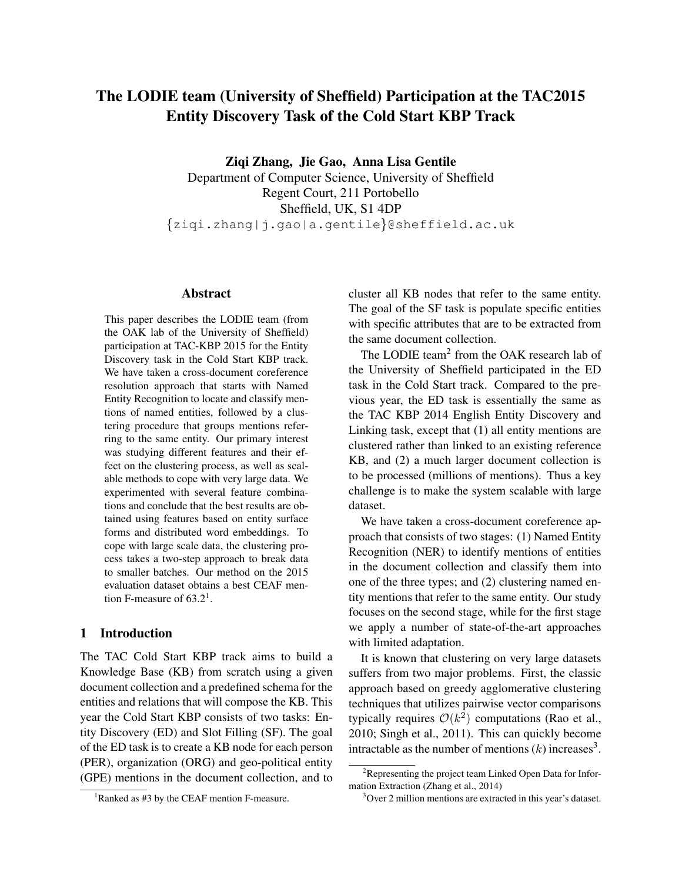# The LODIE team (University of Sheffield) Participation at the TAC2015 Entity Discovery Task of the Cold Start KBP Track

Ziqi Zhang, Jie Gao, Anna Lisa Gentile

Department of Computer Science, University of Sheffield Regent Court, 211 Portobello Sheffield, UK, S1 4DP {ziqi.zhang|j.gao|a.gentile}@sheffield.ac.uk

## Abstract

This paper describes the LODIE team (from the OAK lab of the University of Sheffield) participation at TAC-KBP 2015 for the Entity Discovery task in the Cold Start KBP track. We have taken a cross-document coreference resolution approach that starts with Named Entity Recognition to locate and classify mentions of named entities, followed by a clustering procedure that groups mentions referring to the same entity. Our primary interest was studying different features and their effect on the clustering process, as well as scalable methods to cope with very large data. We experimented with several feature combinations and conclude that the best results are obtained using features based on entity surface forms and distributed word embeddings. To cope with large scale data, the clustering process takes a two-step approach to break data to smaller batches. Our method on the 2015 evaluation dataset obtains a best CEAF mention F-measure of  $63.2<sup>1</sup>$ .

# 1 Introduction

The TAC Cold Start KBP track aims to build a Knowledge Base (KB) from scratch using a given document collection and a predefined schema for the entities and relations that will compose the KB. This year the Cold Start KBP consists of two tasks: Entity Discovery (ED) and Slot Filling (SF). The goal of the ED task is to create a KB node for each person (PER), organization (ORG) and geo-political entity (GPE) mentions in the document collection, and to cluster all KB nodes that refer to the same entity. The goal of the SF task is populate specific entities with specific attributes that are to be extracted from the same document collection.

The LODIE team<sup>2</sup> from the OAK research lab of the University of Sheffield participated in the ED task in the Cold Start track. Compared to the previous year, the ED task is essentially the same as the TAC KBP 2014 English Entity Discovery and Linking task, except that (1) all entity mentions are clustered rather than linked to an existing reference KB, and (2) a much larger document collection is to be processed (millions of mentions). Thus a key challenge is to make the system scalable with large dataset.

We have taken a cross-document coreference approach that consists of two stages: (1) Named Entity Recognition (NER) to identify mentions of entities in the document collection and classify them into one of the three types; and (2) clustering named entity mentions that refer to the same entity. Our study focuses on the second stage, while for the first stage we apply a number of state-of-the-art approaches with limited adaptation.

It is known that clustering on very large datasets suffers from two major problems. First, the classic approach based on greedy agglomerative clustering techniques that utilizes pairwise vector comparisons typically requires  $\mathcal{O}(k^2)$  computations (Rao et al., 2010; Singh et al., 2011). This can quickly become intractable as the number of mentions  $(k)$  increases<sup>3</sup>.

<sup>&</sup>lt;sup>1</sup>Ranked as #3 by the CEAF mention F-measure.

 $2R$ epresenting the project team Linked Open Data for Information Extraction (Zhang et al., 2014)

<sup>3</sup>Over 2 million mentions are extracted in this year's dataset.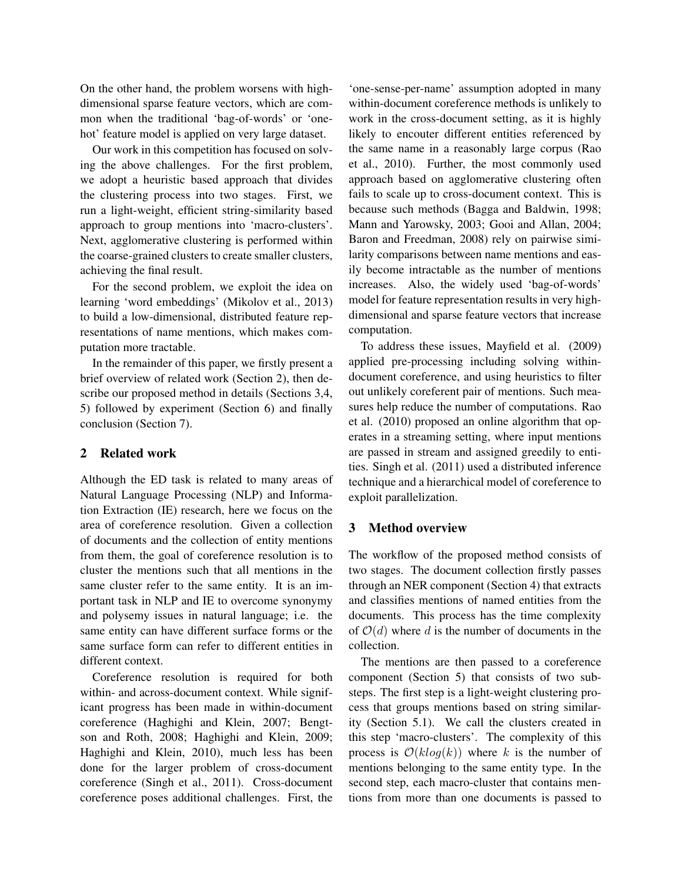On the other hand, the problem worsens with highdimensional sparse feature vectors, which are common when the traditional 'bag-of-words' or 'onehot' feature model is applied on very large dataset.

Our work in this competition has focused on solving the above challenges. For the first problem, we adopt a heuristic based approach that divides the clustering process into two stages. First, we run a light-weight, efficient string-similarity based approach to group mentions into 'macro-clusters'. Next, agglomerative clustering is performed within the coarse-grained clusters to create smaller clusters, achieving the final result.

For the second problem, we exploit the idea on learning 'word embeddings' (Mikolov et al., 2013) to build a low-dimensional, distributed feature representations of name mentions, which makes computation more tractable.

In the remainder of this paper, we firstly present a brief overview of related work (Section 2), then describe our proposed method in details (Sections 3,4, 5) followed by experiment (Section 6) and finally conclusion (Section 7).

# 2 Related work

Although the ED task is related to many areas of Natural Language Processing (NLP) and Information Extraction (IE) research, here we focus on the area of coreference resolution. Given a collection of documents and the collection of entity mentions from them, the goal of coreference resolution is to cluster the mentions such that all mentions in the same cluster refer to the same entity. It is an important task in NLP and IE to overcome synonymy and polysemy issues in natural language; i.e. the same entity can have different surface forms or the same surface form can refer to different entities in different context.

Coreference resolution is required for both within- and across-document context. While significant progress has been made in within-document coreference (Haghighi and Klein, 2007; Bengtson and Roth, 2008; Haghighi and Klein, 2009; Haghighi and Klein, 2010), much less has been done for the larger problem of cross-document coreference (Singh et al., 2011). Cross-document coreference poses additional challenges. First, the

'one-sense-per-name' assumption adopted in many within-document coreference methods is unlikely to work in the cross-document setting, as it is highly likely to encouter different entities referenced by the same name in a reasonably large corpus (Rao et al., 2010). Further, the most commonly used approach based on agglomerative clustering often fails to scale up to cross-document context. This is because such methods (Bagga and Baldwin, 1998; Mann and Yarowsky, 2003; Gooi and Allan, 2004; Baron and Freedman, 2008) rely on pairwise similarity comparisons between name mentions and easily become intractable as the number of mentions increases. Also, the widely used 'bag-of-words' model for feature representation results in very highdimensional and sparse feature vectors that increase computation.

To address these issues, Mayfield et al. (2009) applied pre-processing including solving withindocument coreference, and using heuristics to filter out unlikely coreferent pair of mentions. Such measures help reduce the number of computations. Rao et al. (2010) proposed an online algorithm that operates in a streaming setting, where input mentions are passed in stream and assigned greedily to entities. Singh et al. (2011) used a distributed inference technique and a hierarchical model of coreference to exploit parallelization.

# 3 Method overview

The workflow of the proposed method consists of two stages. The document collection firstly passes through an NER component (Section 4) that extracts and classifies mentions of named entities from the documents. This process has the time complexity of  $\mathcal{O}(d)$  where d is the number of documents in the collection.

The mentions are then passed to a coreference component (Section 5) that consists of two substeps. The first step is a light-weight clustering process that groups mentions based on string similarity (Section 5.1). We call the clusters created in this step 'macro-clusters'. The complexity of this process is  $O(klog(k))$  where k is the number of mentions belonging to the same entity type. In the second step, each macro-cluster that contains mentions from more than one documents is passed to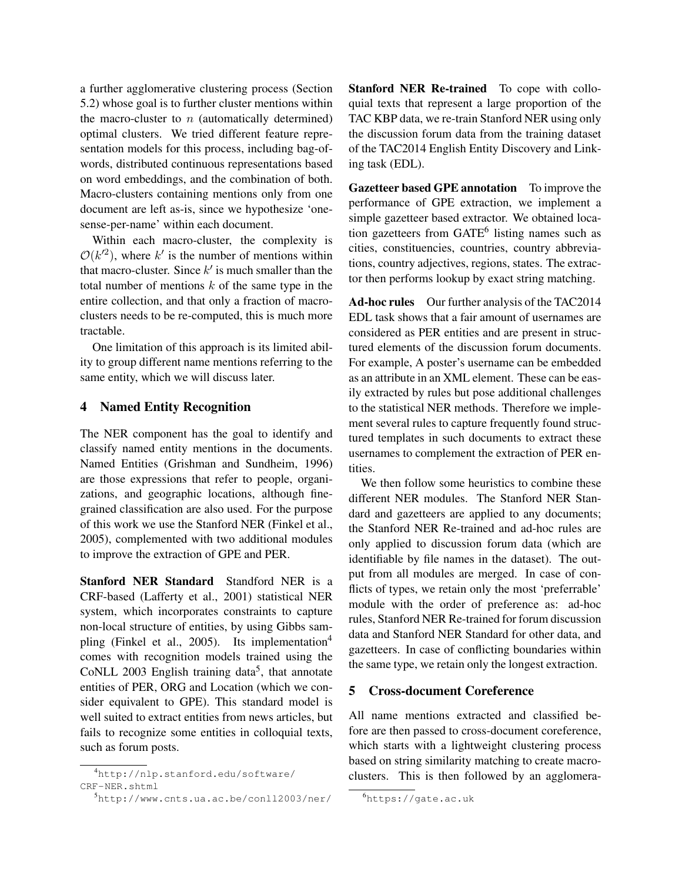a further agglomerative clustering process (Section 5.2) whose goal is to further cluster mentions within the macro-cluster to  $n$  (automatically determined) optimal clusters. We tried different feature representation models for this process, including bag-ofwords, distributed continuous representations based on word embeddings, and the combination of both. Macro-clusters containing mentions only from one document are left as-is, since we hypothesize 'onesense-per-name' within each document.

Within each macro-cluster, the complexity is  $\mathcal{O}(k^{2})$ , where k' is the number of mentions within that macro-cluster. Since  $k'$  is much smaller than the total number of mentions  $k$  of the same type in the entire collection, and that only a fraction of macroclusters needs to be re-computed, this is much more tractable.

One limitation of this approach is its limited ability to group different name mentions referring to the same entity, which we will discuss later.

# 4 Named Entity Recognition

The NER component has the goal to identify and classify named entity mentions in the documents. Named Entities (Grishman and Sundheim, 1996) are those expressions that refer to people, organizations, and geographic locations, although finegrained classification are also used. For the purpose of this work we use the Stanford NER (Finkel et al., 2005), complemented with two additional modules to improve the extraction of GPE and PER.

Stanford NER Standard Standford NER is a CRF-based (Lafferty et al., 2001) statistical NER system, which incorporates constraints to capture non-local structure of entities, by using Gibbs sampling (Finkel et al., 2005). Its implementation<sup>4</sup> comes with recognition models trained using the CoNLL 2003 English training data<sup>5</sup>, that annotate entities of PER, ORG and Location (which we consider equivalent to GPE). This standard model is well suited to extract entities from news articles, but fails to recognize some entities in colloquial texts, such as forum posts.

Stanford NER Re-trained To cope with colloquial texts that represent a large proportion of the TAC KBP data, we re-train Stanford NER using only the discussion forum data from the training dataset of the TAC2014 English Entity Discovery and Linking task (EDL).

Gazetteer based GPE annotation To improve the performance of GPE extraction, we implement a simple gazetteer based extractor. We obtained location gazetteers from GATE<sup>6</sup> listing names such as cities, constituencies, countries, country abbreviations, country adjectives, regions, states. The extractor then performs lookup by exact string matching.

Ad-hoc rules Our further analysis of the TAC2014 EDL task shows that a fair amount of usernames are considered as PER entities and are present in structured elements of the discussion forum documents. For example, A poster's username can be embedded as an attribute in an XML element. These can be easily extracted by rules but pose additional challenges to the statistical NER methods. Therefore we implement several rules to capture frequently found structured templates in such documents to extract these usernames to complement the extraction of PER en**tities** 

We then follow some heuristics to combine these different NER modules. The Stanford NER Standard and gazetteers are applied to any documents; the Stanford NER Re-trained and ad-hoc rules are only applied to discussion forum data (which are identifiable by file names in the dataset). The output from all modules are merged. In case of conflicts of types, we retain only the most 'preferrable' module with the order of preference as: ad-hoc rules, Stanford NER Re-trained for forum discussion data and Stanford NER Standard for other data, and gazetteers. In case of conflicting boundaries within the same type, we retain only the longest extraction.

# 5 Cross-document Coreference

All name mentions extracted and classified before are then passed to cross-document coreference, which starts with a lightweight clustering process based on string similarity matching to create macroclusters. This is then followed by an agglomera-

<sup>4</sup>http://nlp.stanford.edu/software/ CRF-NER.shtml

<sup>5</sup>http://www.cnts.ua.ac.be/conll2003/ner/

<sup>6</sup>https://gate.ac.uk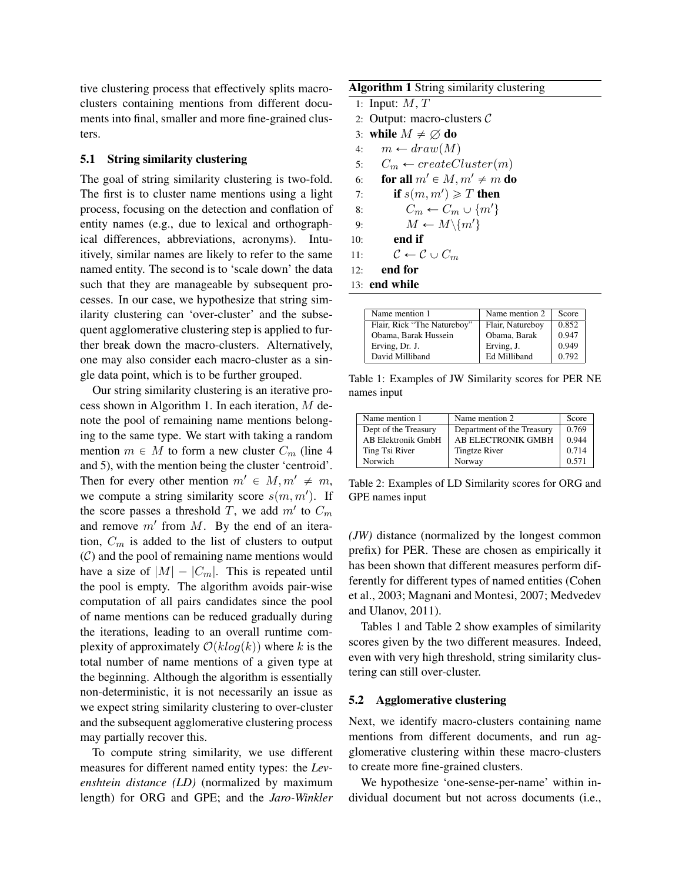tive clustering process that effectively splits macroclusters containing mentions from different documents into final, smaller and more fine-grained clusters.

## 5.1 String similarity clustering

The goal of string similarity clustering is two-fold. The first is to cluster name mentions using a light process, focusing on the detection and conflation of entity names (e.g., due to lexical and orthographical differences, abbreviations, acronyms). Intuitively, similar names are likely to refer to the same named entity. The second is to 'scale down' the data such that they are manageable by subsequent processes. In our case, we hypothesize that string similarity clustering can 'over-cluster' and the subsequent agglomerative clustering step is applied to further break down the macro-clusters. Alternatively, one may also consider each macro-cluster as a single data point, which is to be further grouped.

Our string similarity clustering is an iterative process shown in Algorithm 1. In each iteration, M denote the pool of remaining name mentions belonging to the same type. We start with taking a random mention  $m \in M$  to form a new cluster  $C_m$  (line 4) and 5), with the mention being the cluster 'centroid'. Then for every other mention  $m' \in M, m' \neq m$ , we compute a string similarity score  $s(m, m')$ . If the score passes a threshold T, we add  $m'$  to  $C_m$ and remove  $m'$  from  $M$ . By the end of an iteration,  $C_m$  is added to the list of clusters to output  $(C)$  and the pool of remaining name mentions would have a size of  $|M| - |C_m|$ . This is repeated until the pool is empty. The algorithm avoids pair-wise computation of all pairs candidates since the pool of name mentions can be reduced gradually during the iterations, leading to an overall runtime complexity of approximately  $\mathcal{O}(k \log(k))$  where k is the total number of name mentions of a given type at the beginning. Although the algorithm is essentially non-deterministic, it is not necessarily an issue as we expect string similarity clustering to over-cluster and the subsequent agglomerative clustering process may partially recover this.

To compute string similarity, we use different measures for different named entity types: the *Levenshtein distance (LD)* (normalized by maximum length) for ORG and GPE; and the *Jaro-Winkler*

| Algorithm 1 String similarity clustering |  |  |  |
|------------------------------------------|--|--|--|
|                                          |  |  |  |

- 1: Input:  $M, T$
- 2: Output: macro-clusters  $C$
- 3: while  $M \neq \emptyset$  do
- 4:  $m \leftarrow draw(M)$
- 5:  $C_m \leftarrow createCluster(m)$
- 6: for all  $m' \in M$ ,  $m' \neq m$  do
- 7: if  $s(m, m') \geqslant T$  then
- 8:  $C_m \leftarrow C_m \cup \{m'\}$
- 9:  $M \leftarrow M \setminus \{m'\}$
- 10: end if
- 11:  $\mathcal{C} \leftarrow \mathcal{C} \cup C_m$
- 12: end for
- 13: end while

| Name mention 1              | Name mention 2   | Score |
|-----------------------------|------------------|-------|
| Flair, Rick "The Natureboy" | Flair, Natureboy | 0.852 |
| Obama, Barak Hussein        | Obama, Barak     | 0.947 |
| Erving, Dr. J.              | Erving, J.       | 0.949 |
| David Milliband             | Ed Milliband     | 0.792 |

Table 1: Examples of JW Similarity scores for PER NE names input

| Name mention 1            | Name mention 2             | Score |
|---------------------------|----------------------------|-------|
| Dept of the Treasury      | Department of the Treasury | 0.769 |
| <b>AB Elektronik GmbH</b> | AB ELECTRONIK GMBH         | 0.944 |
| Ting Tsi River            | <b>Tingtze River</b>       | 0.714 |
| Norwich                   | Norway                     | 0.571 |

Table 2: Examples of LD Similarity scores for ORG and GPE names input

*(JW)* distance (normalized by the longest common prefix) for PER. These are chosen as empirically it has been shown that different measures perform differently for different types of named entities (Cohen et al., 2003; Magnani and Montesi, 2007; Medvedev and Ulanov, 2011).

Tables 1 and Table 2 show examples of similarity scores given by the two different measures. Indeed, even with very high threshold, string similarity clustering can still over-cluster.

## 5.2 Agglomerative clustering

Next, we identify macro-clusters containing name mentions from different documents, and run agglomerative clustering within these macro-clusters to create more fine-grained clusters.

We hypothesize 'one-sense-per-name' within individual document but not across documents (i.e.,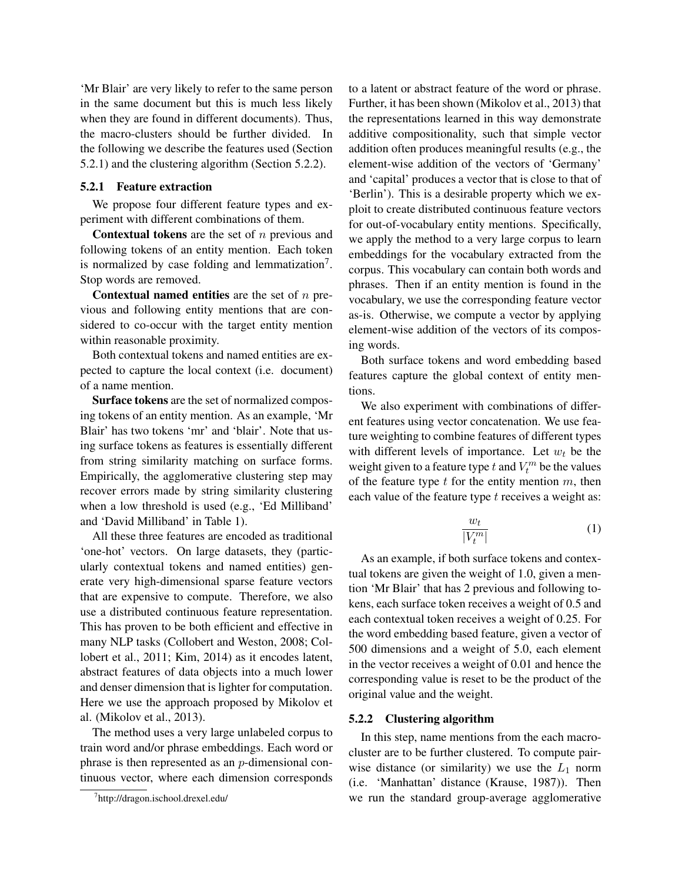'Mr Blair' are very likely to refer to the same person in the same document but this is much less likely when they are found in different documents). Thus, the macro-clusters should be further divided. In the following we describe the features used (Section 5.2.1) and the clustering algorithm (Section 5.2.2).

## 5.2.1 Feature extraction

We propose four different feature types and experiment with different combinations of them.

**Contextual tokens** are the set of  $n$  previous and following tokens of an entity mention. Each token is normalized by case folding and lemmatization $7$ . Stop words are removed.

**Contextual named entities** are the set of  $n$  previous and following entity mentions that are considered to co-occur with the target entity mention within reasonable proximity.

Both contextual tokens and named entities are expected to capture the local context (i.e. document) of a name mention.

Surface tokens are the set of normalized composing tokens of an entity mention. As an example, 'Mr Blair' has two tokens 'mr' and 'blair'. Note that using surface tokens as features is essentially different from string similarity matching on surface forms. Empirically, the agglomerative clustering step may recover errors made by string similarity clustering when a low threshold is used (e.g., 'Ed Milliband' and 'David Milliband' in Table 1).

All these three features are encoded as traditional 'one-hot' vectors. On large datasets, they (particularly contextual tokens and named entities) generate very high-dimensional sparse feature vectors that are expensive to compute. Therefore, we also use a distributed continuous feature representation. This has proven to be both efficient and effective in many NLP tasks (Collobert and Weston, 2008; Collobert et al., 2011; Kim, 2014) as it encodes latent, abstract features of data objects into a much lower and denser dimension that is lighter for computation. Here we use the approach proposed by Mikolov et al. (Mikolov et al., 2013).

The method uses a very large unlabeled corpus to train word and/or phrase embeddings. Each word or phrase is then represented as an p-dimensional continuous vector, where each dimension corresponds to a latent or abstract feature of the word or phrase. Further, it has been shown (Mikolov et al., 2013) that the representations learned in this way demonstrate additive compositionality, such that simple vector addition often produces meaningful results (e.g., the element-wise addition of the vectors of 'Germany' and 'capital' produces a vector that is close to that of 'Berlin'). This is a desirable property which we exploit to create distributed continuous feature vectors for out-of-vocabulary entity mentions. Specifically, we apply the method to a very large corpus to learn embeddings for the vocabulary extracted from the corpus. This vocabulary can contain both words and phrases. Then if an entity mention is found in the vocabulary, we use the corresponding feature vector as-is. Otherwise, we compute a vector by applying element-wise addition of the vectors of its composing words.

Both surface tokens and word embedding based features capture the global context of entity mentions.

We also experiment with combinations of different features using vector concatenation. We use feature weighting to combine features of different types with different levels of importance. Let  $w_t$  be the weight given to a feature type t and  $V_t^m$  be the values of the feature type  $t$  for the entity mention  $m$ , then each value of the feature type  $t$  receives a weight as:

$$
\frac{w_t}{|V_t^m|} \tag{1}
$$

As an example, if both surface tokens and contextual tokens are given the weight of 1.0, given a mention 'Mr Blair' that has 2 previous and following tokens, each surface token receives a weight of 0.5 and each contextual token receives a weight of 0.25. For the word embedding based feature, given a vector of 500 dimensions and a weight of 5.0, each element in the vector receives a weight of 0.01 and hence the corresponding value is reset to be the product of the original value and the weight.

## 5.2.2 Clustering algorithm

In this step, name mentions from the each macrocluster are to be further clustered. To compute pairwise distance (or similarity) we use the  $L_1$  norm (i.e. 'Manhattan' distance (Krause, 1987)). Then we run the standard group-average agglomerative

<sup>7</sup> http://dragon.ischool.drexel.edu/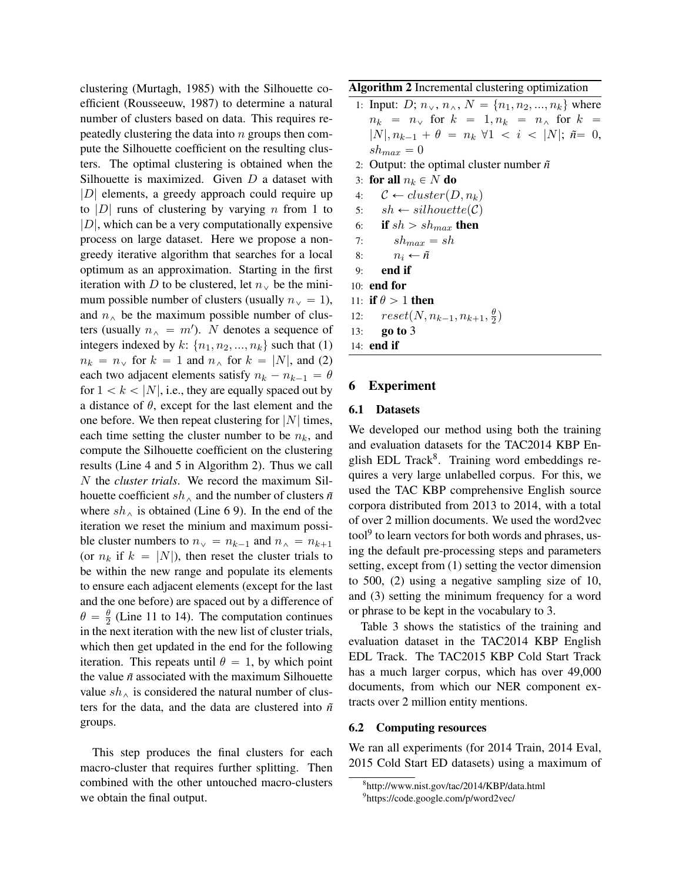clustering (Murtagh, 1985) with the Silhouette coefficient (Rousseeuw, 1987) to determine a natural number of clusters based on data. This requires repeatedly clustering the data into  $n$  groups then compute the Silhouette coefficient on the resulting clusters. The optimal clustering is obtained when the Silhouette is maximized. Given D a dataset with  $|D|$  elements, a greedy approach could require up to |D| runs of clustering by varying  $n$  from 1 to  $|D|$ , which can be a very computationally expensive process on large dataset. Here we propose a nongreedy iterative algorithm that searches for a local optimum as an approximation. Starting in the first iteration with D to be clustered, let  $n_v$  be the minimum possible number of clusters (usually  $n_v = 1$ ), and  $n_{\wedge}$  be the maximum possible number of clusters (usually  $n_{\alpha} = m'$ ). N denotes a sequence of integers indexed by k:  $\{n_1, n_2, ..., n_k\}$  such that (1)  $n_k = n_\vee$  for  $k = 1$  and  $n_\wedge$  for  $k = |N|$ , and (2) each two adjacent elements satisfy  $n_k - n_{k-1} = \theta$ for  $1 < k < |N|$ , i.e., they are equally spaced out by a distance of  $\theta$ , except for the last element and the one before. We then repeat clustering for  $|N|$  times, each time setting the cluster number to be  $n_k$ , and compute the Silhouette coefficient on the clustering results (Line 4 and 5 in Algorithm 2). Thus we call N the *cluster trials*. We record the maximum Silhouette coefficient  $sh_{\wedge}$  and the number of clusters  $\tilde{n}$ where  $sh_{\wedge}$  is obtained (Line 6 9). In the end of the iteration we reset the minium and maximum possible cluster numbers to  $n_v = n_{k-1}$  and  $n_v = n_{k+1}$ (or  $n_k$  if  $k = |N|$ ), then reset the cluster trials to be within the new range and populate its elements to ensure each adjacent elements (except for the last and the one before) are spaced out by a difference of  $\theta = \frac{\theta}{2}$  $\frac{\theta}{2}$  (Line 11 to 14). The computation continues in the next iteration with the new list of cluster trials, which then get updated in the end for the following iteration. This repeats until  $\theta = 1$ , by which point the value *n˜* associated with the maximum Silhouette value  $sh_{\wedge}$  is considered the natural number of clusters for the data, and the data are clustered into  $\tilde{n}$ groups.

This step produces the final clusters for each macro-cluster that requires further splitting. Then combined with the other untouched macro-clusters we obtain the final output.

Algorithm 2 Incremental clustering optimization

1: Input: D;  $n_v$ ,  $n_\wedge$ ,  $N = \{n_1, n_2, ..., n_k\}$  where  $n_k = n_\vee$  for  $k = 1, n_k = n_\wedge$  for  $k =$  $|N|, n_{k-1} + \theta = n_k \ \forall 1 \ < i \ < |N|; \ \tilde{n} = 0,$  $sh_{max} = 0$ 2: Output: the optimal cluster number  $\tilde{n}$ 3: for all  $n_k \in N$  do 4:  $\mathcal{C} \leftarrow cluster(D, n_k)$ 5:  $sh \leftarrow silhouette(\mathcal{C})$ 6: if  $sh > sh_{max}$  then 7:  $sh_{max} = sh$ 8:  $n_i \leftarrow \tilde{n}$ 9: end if 10: end for 11: if  $\theta > 1$  then 12:  $reset(N, n_{k-1}, n_{k+1}, \frac{\theta}{2})$  $\frac{\theta}{2}$ 13: go to 3 14: end if

# 6 Experiment

### 6.1 Datasets

We developed our method using both the training and evaluation datasets for the TAC2014 KBP English EDL Track<sup>8</sup>. Training word embeddings requires a very large unlabelled corpus. For this, we used the TAC KBP comprehensive English source corpora distributed from 2013 to 2014, with a total of over 2 million documents. We used the word2vec tool<sup>9</sup> to learn vectors for both words and phrases, using the default pre-processing steps and parameters setting, except from (1) setting the vector dimension to 500, (2) using a negative sampling size of 10, and (3) setting the minimum frequency for a word or phrase to be kept in the vocabulary to 3.

Table 3 shows the statistics of the training and evaluation dataset in the TAC2014 KBP English EDL Track. The TAC2015 KBP Cold Start Track has a much larger corpus, which has over 49,000 documents, from which our NER component extracts over 2 million entity mentions.

#### 6.2 Computing resources

We ran all experiments (for 2014 Train, 2014 Eval, 2015 Cold Start ED datasets) using a maximum of

<sup>8</sup> http://www.nist.gov/tac/2014/KBP/data.html 9 https://code.google.com/p/word2vec/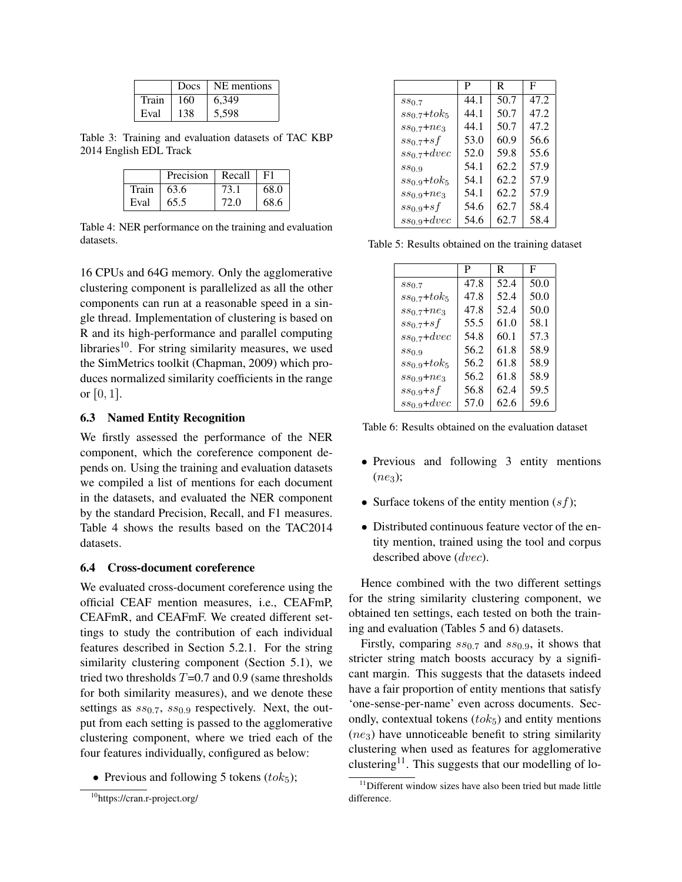|       | Docs | NE mentions |
|-------|------|-------------|
| Train | 160  | 6.349       |
| Eval  | 138  | 5.598       |

Table 3: Training and evaluation datasets of TAC KBP 2014 English EDL Track

|       | Precision $\vert$ Recall |      | F1   |
|-------|--------------------------|------|------|
| Train | 63.6                     | 73.1 | 68.0 |
| Eval  | 65.5                     | 72.0 | 68.6 |

Table 4: NER performance on the training and evaluation datasets.

16 CPUs and 64G memory. Only the agglomerative clustering component is parallelized as all the other components can run at a reasonable speed in a single thread. Implementation of clustering is based on R and its high-performance and parallel computing libraries<sup>10</sup>. For string similarity measures, we used the SimMetrics toolkit (Chapman, 2009) which produces normalized similarity coefficients in the range or  $[0, 1]$ .

## 6.3 Named Entity Recognition

We firstly assessed the performance of the NER component, which the coreference component depends on. Using the training and evaluation datasets we compiled a list of mentions for each document in the datasets, and evaluated the NER component by the standard Precision, Recall, and F1 measures. Table 4 shows the results based on the TAC2014 datasets.

### 6.4 Cross-document coreference

We evaluated cross-document coreference using the official CEAF mention measures, i.e., CEAFmP, CEAFmR, and CEAFmF. We created different settings to study the contribution of each individual features described in Section 5.2.1. For the string similarity clustering component (Section 5.1), we tried two thresholds  $T=0.7$  and 0.9 (same thresholds for both similarity measures), and we denote these settings as  $ss_{0.7}$ ,  $ss_{0.9}$  respectively. Next, the output from each setting is passed to the agglomerative clustering component, where we tried each of the four features individually, configured as below:

• Previous and following 5 tokens  $(tok_5)$ ;

|                              | P    | R.   | F    |
|------------------------------|------|------|------|
| $ss_{0.7}$                   | 44.1 | 50.7 | 47.2 |
| $ss_{0.7}+tok_5$             | 44.1 | 50.7 | 47.2 |
| $ss_{0.7}+ne_3$              | 44.1 | 50.7 | 47.2 |
| $ss_{0.7} + sf$              | 53.0 | 60.9 | 56.6 |
| $ss_0$ <sub>7</sub> + $dvec$ | 52.0 | 59.8 | 55.6 |
| $ss_{0.9}$                   | 54.1 | 62.2 | 57.9 |
| $ss_{0.9}+tok_5$             | 54.1 | 62.2 | 57.9 |
| $ss_{0.9} + ne_3$            | 54.1 | 62.2 | 57.9 |
| $ss_{0.9}+sf$                | 54.6 | 62.7 | 58.4 |
| $ss_{0.9}$ +dvec             | 54.6 | 62.7 | 58.4 |

Table 5: Results obtained on the training dataset

|                   | P    | R    | F    |
|-------------------|------|------|------|
| $ss_{0.7}$        | 47.8 | 52.4 | 50.0 |
| $ss_{0.7}+tok_5$  | 47.8 | 52.4 | 50.0 |
| $ss_{0.7}+ne_3$   | 47.8 | 52.4 | 50.0 |
| $ss_{0.7}+sf$     | 55.5 | 61.0 | 58.1 |
| $ss_{0.7}$ +dvec  | 54.8 | 60.1 | 57.3 |
| $ss_{0.9}$        | 56.2 | 61.8 | 58.9 |
| $ss_{0.9}+tok_5$  | 56.2 | 61.8 | 58.9 |
| $ss_{0.9} + ne_3$ | 56.2 | 61.8 | 58.9 |
| $ss_{0.9}+sf$     | 56.8 | 62.4 | 59.5 |
| $ss_{0.9}$ +dvec  | 57.0 | 62.6 | 59.6 |

Table 6: Results obtained on the evaluation dataset

- Previous and following 3 entity mentions  $(ne_3);$
- Surface tokens of the entity mention  $(sf)$ ;
- Distributed continuous feature vector of the entity mention, trained using the tool and corpus described above (dvec).

Hence combined with the two different settings for the string similarity clustering component, we obtained ten settings, each tested on both the training and evaluation (Tables 5 and 6) datasets.

Firstly, comparing  $ss_{0.7}$  and  $ss_{0.9}$ , it shows that stricter string match boosts accuracy by a significant margin. This suggests that the datasets indeed have a fair proportion of entity mentions that satisfy 'one-sense-per-name' even across documents. Secondly, contextual tokens  $(t \circ k_5)$  and entity mentions  $(ne<sub>3</sub>)$  have unnoticeable benefit to string similarity clustering when used as features for agglomerative clustering<sup>11</sup>. This suggests that our modelling of lo-

<sup>10</sup>https://cran.r-project.org/

<sup>&</sup>lt;sup>11</sup>Different window sizes have also been tried but made little difference.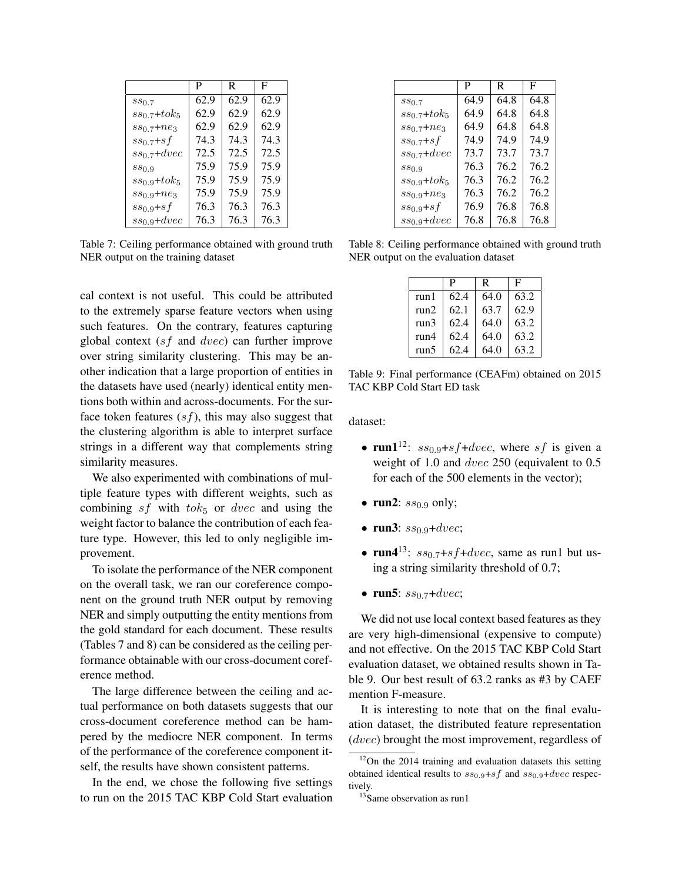|                   | P    | R.   | F    |
|-------------------|------|------|------|
| $ss_{0.7}$        | 62.9 | 62.9 | 62.9 |
| $ss_{0.7}+tok_5$  | 62.9 | 62.9 | 62.9 |
| $ss_{0.7} + ne_3$ | 62.9 | 62.9 | 62.9 |
| $ss_{0.7}+sf$     | 74.3 | 74.3 | 74.3 |
| $ss_{0.7}$ +dvec  | 72.5 | 72.5 | 72.5 |
| $ss_{0.9}$        | 75.9 | 75.9 | 75.9 |
| $ss_{0.9}+tok_5$  | 75.9 | 75.9 | 75.9 |
| $ss_{0.9}+ne_3$   | 75.9 | 75.9 | 75.9 |
| $ss_{0.9}+sf$     | 76.3 | 76.3 | 76.3 |
| $ss_{0.9}$ +dvec  | 76.3 | 76.3 | 76.3 |

Table 7: Ceiling performance obtained with ground truth NER output on the training dataset

cal context is not useful. This could be attributed to the extremely sparse feature vectors when using such features. On the contrary, features capturing global context  $(sf$  and  $dvec)$  can further improve over string similarity clustering. This may be another indication that a large proportion of entities in the datasets have used (nearly) identical entity mentions both within and across-documents. For the surface token features  $(sf)$ , this may also suggest that the clustering algorithm is able to interpret surface strings in a different way that complements string similarity measures.

We also experimented with combinations of multiple feature types with different weights, such as combining sf with  $tok_5$  or dvec and using the weight factor to balance the contribution of each feature type. However, this led to only negligible improvement.

To isolate the performance of the NER component on the overall task, we ran our coreference component on the ground truth NER output by removing NER and simply outputting the entity mentions from the gold standard for each document. These results (Tables 7 and 8) can be considered as the ceiling performance obtainable with our cross-document coreference method.

The large difference between the ceiling and actual performance on both datasets suggests that our cross-document coreference method can be hampered by the mediocre NER component. In terms of the performance of the coreference component itself, the results have shown consistent patterns.

In the end, we chose the following five settings to run on the 2015 TAC KBP Cold Start evaluation

|                  | P    | R    | F    |
|------------------|------|------|------|
| $ss_{0.7}$       | 64.9 | 64.8 | 64.8 |
| $ss_{0.7}+tok_5$ | 64.9 | 64.8 | 64.8 |
| $ss_{0.7}+ne_3$  | 64.9 | 64.8 | 64.8 |
| $ss_{0.7}+sf$    | 74.9 | 74.9 | 74.9 |
| $ss_{0.7}$ +dvec | 73.7 | 73.7 | 73.7 |
| $ss_{0.9}$       | 76.3 | 76.2 | 76.2 |
| $ss_{0.9}+tok_5$ | 76.3 | 76.2 | 76.2 |
| $ss_{0.9}+ne_3$  | 76.3 | 76.2 | 76.2 |
| $ss_{0.9}+sf$    | 76.9 | 76.8 | 76.8 |
| $ss_{0.9}$ +dvec | 76.8 | 76.8 | 76.8 |

Table 8: Ceiling performance obtained with ground truth NER output on the evaluation dataset

|       | P    | R    | F    |
|-------|------|------|------|
| run 1 | 62.4 | 64.0 | 63.2 |
| run2  | 62.1 | 63.7 | 62.9 |
| run3  | 62.4 | 64.0 | 63.2 |
| run4  | 62.4 | 64.0 | 63.2 |
| run5  | 62.4 | 64.0 | 63.2 |

Table 9: Final performance (CEAFm) obtained on 2015 TAC KBP Cold Start ED task

dataset:

- run1<sup>12</sup>:  $ss_{0.9}+sf+dvec$ , where sf is given a weight of 1.0 and dvec 250 (equivalent to 0.5 for each of the 500 elements in the vector);
- run2:  $ss_{0.9}$  only;
- run3:  $ss_{0.9}$ +dvec;
- run4<sup>13</sup>:  $ss_{0.7}$ +s  $f$ +dvec, same as run1 but using a string similarity threshold of 0.7;
- run5:  $ss_{0.7}$ +dvec;

We did not use local context based features as they are very high-dimensional (expensive to compute) and not effective. On the 2015 TAC KBP Cold Start evaluation dataset, we obtained results shown in Table 9. Our best result of 63.2 ranks as #3 by CAEF mention F-measure.

It is interesting to note that on the final evaluation dataset, the distributed feature representation (dvec) brought the most improvement, regardless of

 $12$ On the 2014 training and evaluation datasets this setting obtained identical results to  $ss_{0.9}+sf$  and  $ss_{0.9}+dvec$  respectively.

<sup>&</sup>lt;sup>13</sup>Same observation as run1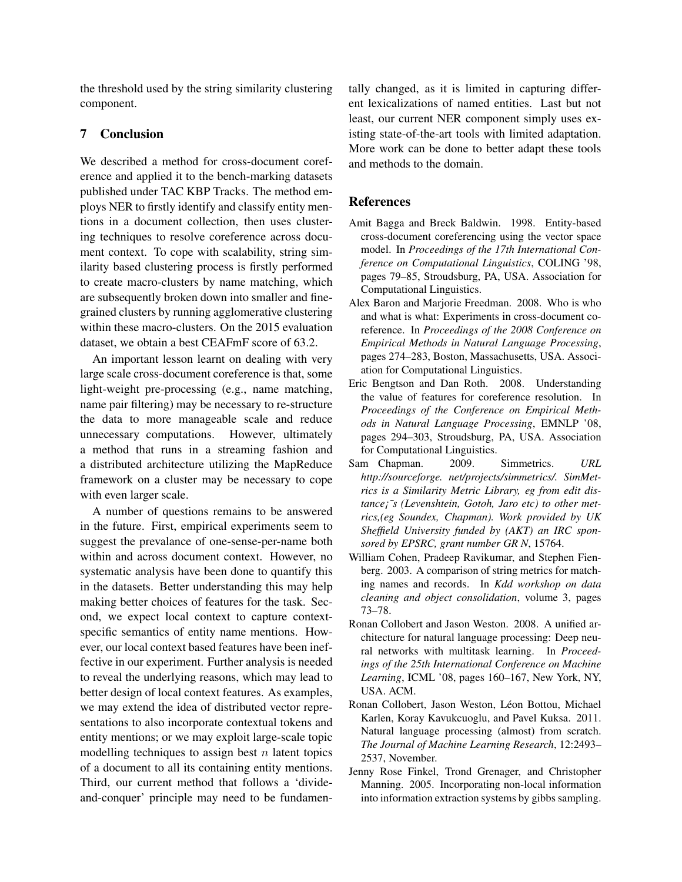the threshold used by the string similarity clustering component.

# 7 Conclusion

We described a method for cross-document coreference and applied it to the bench-marking datasets published under TAC KBP Tracks. The method employs NER to firstly identify and classify entity mentions in a document collection, then uses clustering techniques to resolve coreference across document context. To cope with scalability, string similarity based clustering process is firstly performed to create macro-clusters by name matching, which are subsequently broken down into smaller and finegrained clusters by running agglomerative clustering within these macro-clusters. On the 2015 evaluation dataset, we obtain a best CEAFmF score of 63.2.

An important lesson learnt on dealing with very large scale cross-document coreference is that, some light-weight pre-processing (e.g., name matching, name pair filtering) may be necessary to re-structure the data to more manageable scale and reduce unnecessary computations. However, ultimately a method that runs in a streaming fashion and a distributed architecture utilizing the MapReduce framework on a cluster may be necessary to cope with even larger scale.

A number of questions remains to be answered in the future. First, empirical experiments seem to suggest the prevalance of one-sense-per-name both within and across document context. However, no systematic analysis have been done to quantify this in the datasets. Better understanding this may help making better choices of features for the task. Second, we expect local context to capture contextspecific semantics of entity name mentions. However, our local context based features have been ineffective in our experiment. Further analysis is needed to reveal the underlying reasons, which may lead to better design of local context features. As examples, we may extend the idea of distributed vector representations to also incorporate contextual tokens and entity mentions; or we may exploit large-scale topic modelling techniques to assign best  $n$  latent topics of a document to all its containing entity mentions. Third, our current method that follows a 'divideand-conquer' principle may need to be fundamentally changed, as it is limited in capturing different lexicalizations of named entities. Last but not least, our current NER component simply uses existing state-of-the-art tools with limited adaptation. More work can be done to better adapt these tools and methods to the domain.

# References

- Amit Bagga and Breck Baldwin. 1998. Entity-based cross-document coreferencing using the vector space model. In *Proceedings of the 17th International Conference on Computational Linguistics*, COLING '98, pages 79–85, Stroudsburg, PA, USA. Association for Computational Linguistics.
- Alex Baron and Marjorie Freedman. 2008. Who is who and what is what: Experiments in cross-document coreference. In *Proceedings of the 2008 Conference on Empirical Methods in Natural Language Processing*, pages 274–283, Boston, Massachusetts, USA. Association for Computational Linguistics.
- Eric Bengtson and Dan Roth. 2008. Understanding the value of features for coreference resolution. In *Proceedings of the Conference on Empirical Methods in Natural Language Processing*, EMNLP '08, pages 294–303, Stroudsburg, PA, USA. Association for Computational Linguistics.
- Sam Chapman. 2009. Simmetrics. *URL http://sourceforge. net/projects/simmetrics/. SimMetrics is a Similarity Metric Library, eg from edit distance¡¯s (Levenshtein, Gotoh, Jaro etc) to other metrics,(eg Soundex, Chapman). Work provided by UK Sheffield University funded by (AKT) an IRC sponsored by EPSRC, grant number GR N*, 15764.
- William Cohen, Pradeep Ravikumar, and Stephen Fienberg. 2003. A comparison of string metrics for matching names and records. In *Kdd workshop on data cleaning and object consolidation*, volume 3, pages 73–78.
- Ronan Collobert and Jason Weston. 2008. A unified architecture for natural language processing: Deep neural networks with multitask learning. In *Proceedings of the 25th International Conference on Machine Learning*, ICML '08, pages 160–167, New York, NY, USA. ACM.
- Ronan Collobert, Jason Weston, Léon Bottou, Michael Karlen, Koray Kavukcuoglu, and Pavel Kuksa. 2011. Natural language processing (almost) from scratch. *The Journal of Machine Learning Research*, 12:2493– 2537, November.
- Jenny Rose Finkel, Trond Grenager, and Christopher Manning. 2005. Incorporating non-local information into information extraction systems by gibbs sampling.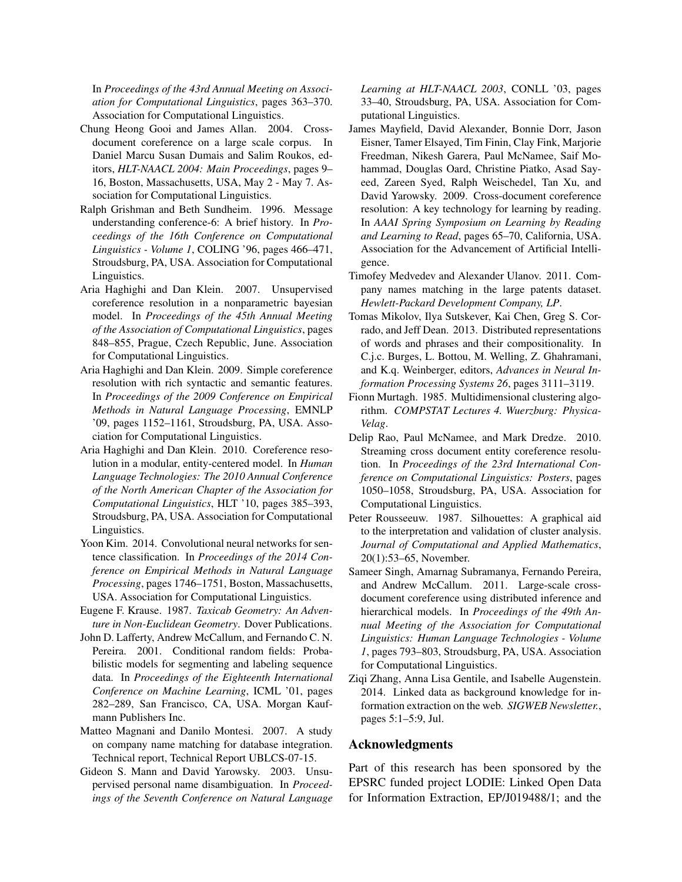In *Proceedings of the 43rd Annual Meeting on Association for Computational Linguistics*, pages 363–370. Association for Computational Linguistics.

- Chung Heong Gooi and James Allan. 2004. Crossdocument coreference on a large scale corpus. In Daniel Marcu Susan Dumais and Salim Roukos, editors, *HLT-NAACL 2004: Main Proceedings*, pages 9– 16, Boston, Massachusetts, USA, May 2 - May 7. Association for Computational Linguistics.
- Ralph Grishman and Beth Sundheim. 1996. Message understanding conference-6: A brief history. In *Proceedings of the 16th Conference on Computational Linguistics - Volume 1*, COLING '96, pages 466–471, Stroudsburg, PA, USA. Association for Computational Linguistics.
- Aria Haghighi and Dan Klein. 2007. Unsupervised coreference resolution in a nonparametric bayesian model. In *Proceedings of the 45th Annual Meeting of the Association of Computational Linguistics*, pages 848–855, Prague, Czech Republic, June. Association for Computational Linguistics.
- Aria Haghighi and Dan Klein. 2009. Simple coreference resolution with rich syntactic and semantic features. In *Proceedings of the 2009 Conference on Empirical Methods in Natural Language Processing*, EMNLP '09, pages 1152–1161, Stroudsburg, PA, USA. Association for Computational Linguistics.
- Aria Haghighi and Dan Klein. 2010. Coreference resolution in a modular, entity-centered model. In *Human Language Technologies: The 2010 Annual Conference of the North American Chapter of the Association for Computational Linguistics*, HLT '10, pages 385–393, Stroudsburg, PA, USA. Association for Computational Linguistics.
- Yoon Kim. 2014. Convolutional neural networks for sentence classification. In *Proceedings of the 2014 Conference on Empirical Methods in Natural Language Processing*, pages 1746–1751, Boston, Massachusetts, USA. Association for Computational Linguistics.
- Eugene F. Krause. 1987. *Taxicab Geometry: An Adventure in Non-Euclidean Geometry*. Dover Publications.
- John D. Lafferty, Andrew McCallum, and Fernando C. N. Pereira. 2001. Conditional random fields: Probabilistic models for segmenting and labeling sequence data. In *Proceedings of the Eighteenth International Conference on Machine Learning*, ICML '01, pages 282–289, San Francisco, CA, USA. Morgan Kaufmann Publishers Inc.
- Matteo Magnani and Danilo Montesi. 2007. A study on company name matching for database integration. Technical report, Technical Report UBLCS-07-15.
- Gideon S. Mann and David Yarowsky. 2003. Unsupervised personal name disambiguation. In *Proceedings of the Seventh Conference on Natural Language*

*Learning at HLT-NAACL 2003*, CONLL '03, pages 33–40, Stroudsburg, PA, USA. Association for Computational Linguistics.

- James Mayfield, David Alexander, Bonnie Dorr, Jason Eisner, Tamer Elsayed, Tim Finin, Clay Fink, Marjorie Freedman, Nikesh Garera, Paul McNamee, Saif Mohammad, Douglas Oard, Christine Piatko, Asad Sayeed, Zareen Syed, Ralph Weischedel, Tan Xu, and David Yarowsky. 2009. Cross-document coreference resolution: A key technology for learning by reading. In *AAAI Spring Symposium on Learning by Reading and Learning to Read*, pages 65–70, California, USA. Association for the Advancement of Artificial Intelligence.
- Timofey Medvedev and Alexander Ulanov. 2011. Company names matching in the large patents dataset. *Hewlett-Packard Development Company, LP*.
- Tomas Mikolov, Ilya Sutskever, Kai Chen, Greg S. Corrado, and Jeff Dean. 2013. Distributed representations of words and phrases and their compositionality. In C.j.c. Burges, L. Bottou, M. Welling, Z. Ghahramani, and K.q. Weinberger, editors, *Advances in Neural Information Processing Systems 26*, pages 3111–3119.
- Fionn Murtagh. 1985. Multidimensional clustering algorithm. *COMPSTAT Lectures 4. Wuerzburg: Physica-Velag*.
- Delip Rao, Paul McNamee, and Mark Dredze. 2010. Streaming cross document entity coreference resolution. In *Proceedings of the 23rd International Conference on Computational Linguistics: Posters*, pages 1050–1058, Stroudsburg, PA, USA. Association for Computational Linguistics.
- Peter Rousseeuw. 1987. Silhouettes: A graphical aid to the interpretation and validation of cluster analysis. *Journal of Computational and Applied Mathematics*, 20(1):53–65, November.
- Sameer Singh, Amarnag Subramanya, Fernando Pereira, and Andrew McCallum. 2011. Large-scale crossdocument coreference using distributed inference and hierarchical models. In *Proceedings of the 49th Annual Meeting of the Association for Computational Linguistics: Human Language Technologies - Volume 1*, pages 793–803, Stroudsburg, PA, USA. Association for Computational Linguistics.
- Ziqi Zhang, Anna Lisa Gentile, and Isabelle Augenstein. 2014. Linked data as background knowledge for information extraction on the web. *SIGWEB Newsletter.*, pages 5:1–5:9, Jul.

### Acknowledgments

Part of this research has been sponsored by the EPSRC funded project LODIE: Linked Open Data for Information Extraction, EP/J019488/1; and the